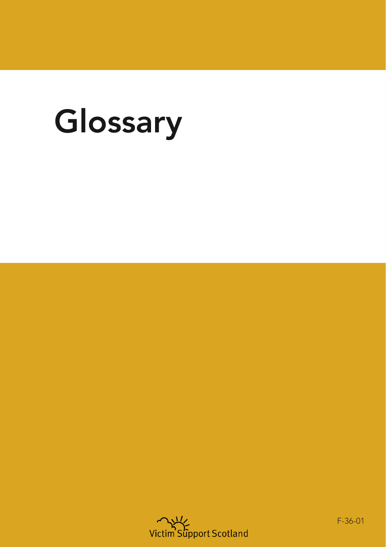## Glossary



F-36-01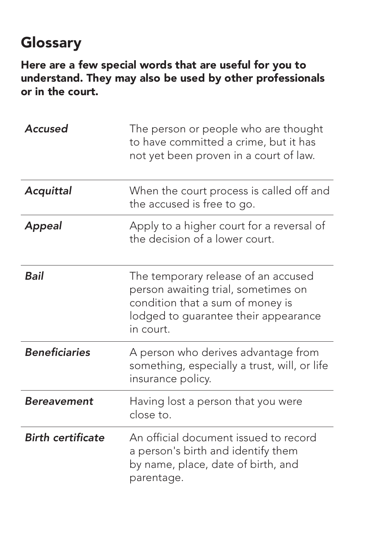## **Glossary**

Here are a few special words that are useful for you to understand. They may also be used by other professionals or in the court.

| Accused                  | The person or people who are thought<br>to have committed a crime, but it has<br>not yet been proven in a court of law.                                             |
|--------------------------|---------------------------------------------------------------------------------------------------------------------------------------------------------------------|
| Acquittal                | When the court process is called off and<br>the accused is free to go.                                                                                              |
| <b>Appeal</b>            | Apply to a higher court for a reversal of<br>the decision of a lower court.                                                                                         |
| Bail                     | The temporary release of an accused<br>person awaiting trial, sometimes on<br>condition that a sum of money is<br>lodged to guarantee their appearance<br>in court. |
| <b>Beneficiaries</b>     | A person who derives advantage from<br>something, especially a trust, will, or life<br>insurance policy.                                                            |
| Bereavement              | Having lost a person that you were<br>close to.                                                                                                                     |
| <b>Birth certificate</b> | An official document issued to record<br>a person's birth and identify them<br>by name, place, date of birth, and<br>parentage.                                     |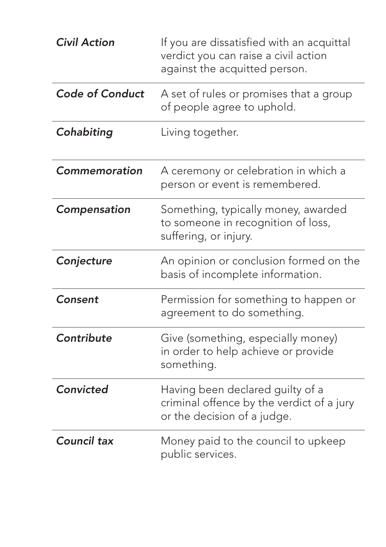| <b>Civil Action</b>    | If you are dissatisfied with an acquittal<br>verdict you can raise a civil action<br>against the acquitted person. |
|------------------------|--------------------------------------------------------------------------------------------------------------------|
| <b>Code of Conduct</b> | A set of rules or promises that a group<br>of people agree to uphold.                                              |
| Cohabiting             | Living together.                                                                                                   |
| Commemoration          | A ceremony or celebration in which a<br>person or event is remembered.                                             |
| Compensation           | Something, typically money, awarded<br>to someone in recognition of loss,<br>suffering, or injury.                 |
| Conjecture             | An opinion or conclusion formed on the<br>basis of incomplete information.                                         |
| Consent                | Permission for something to happen or<br>agreement to do something.                                                |
| Contribute             | Give (something, especially money)<br>in order to help achieve or provide<br>something.                            |
| Convicted              | Having been declared guilty of a<br>criminal offence by the verdict of a jury<br>or the decision of a judge.       |
| <b>Council tax</b>     | Money paid to the council to upkeep<br>public services.                                                            |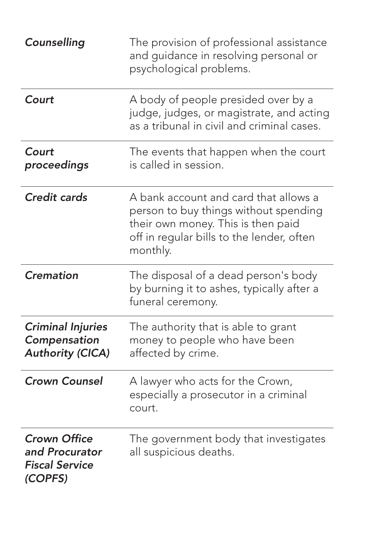| Counselling                                                               | The provision of professional assistance<br>and guidance in resolving personal or<br>psychological problems.                                                                  |
|---------------------------------------------------------------------------|-------------------------------------------------------------------------------------------------------------------------------------------------------------------------------|
| Court                                                                     | A body of people presided over by a<br>judge, judges, or magistrate, and acting<br>as a tribunal in civil and criminal cases.                                                 |
| Court<br>proceedings                                                      | The events that happen when the court<br>is called in session.                                                                                                                |
| <b>Credit cards</b>                                                       | A bank account and card that allows a<br>person to buy things without spending<br>their own money. This is then paid<br>off in regular bills to the lender, often<br>monthly. |
| <b>Cremation</b>                                                          | The disposal of a dead person's body<br>by burning it to ashes, typically after a<br>funeral ceremony.                                                                        |
| <b>Criminal Injuries</b><br>Compensation<br><b>Authority (CICA)</b>       | The authority that is able to grant<br>money to people who have been<br>affected by crime.                                                                                    |
| <b>Crown Counsel</b>                                                      | A lawyer who acts for the Crown,<br>especially a prosecutor in a criminal<br>court.                                                                                           |
| <b>Crown Office</b><br>and Procurator<br><b>Fiscal Service</b><br>(COPFS) | The government body that investigates<br>all suspicious deaths.                                                                                                               |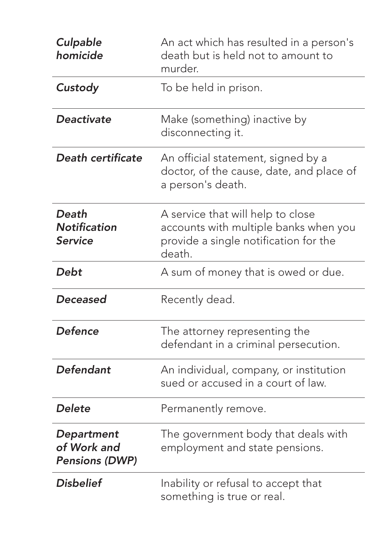| Culpable<br>homicide                                      | An act which has resulted in a person's<br>death but is held not to amount to<br>murder.                                      |
|-----------------------------------------------------------|-------------------------------------------------------------------------------------------------------------------------------|
| Custody                                                   | To be held in prison.                                                                                                         |
| <b>Deactivate</b>                                         | Make (something) inactive by<br>disconnecting it.                                                                             |
| <b>Death certificate</b>                                  | An official statement, signed by a<br>doctor, of the cause, date, and place of<br>a person's death.                           |
| Death<br><b>Notification</b><br><b>Service</b>            | A service that will help to close<br>accounts with multiple banks when you<br>provide a single notification for the<br>death. |
| Debt                                                      | A sum of money that is owed or due.                                                                                           |
| <b>Deceased</b>                                           | Recently dead.                                                                                                                |
| <b>Defence</b>                                            | The attorney representing the<br>defendant in a criminal persecution.                                                         |
| Defendant                                                 | An individual, company, or institution<br>sued or accused in a court of law.                                                  |
| <b>Delete</b>                                             | Permanently remove.                                                                                                           |
| <b>Department</b><br>of Work and<br><b>Pensions (DWP)</b> | The government body that deals with<br>employment and state pensions.                                                         |
| <b>Disbelief</b>                                          | Inability or refusal to accept that<br>something is true or real.                                                             |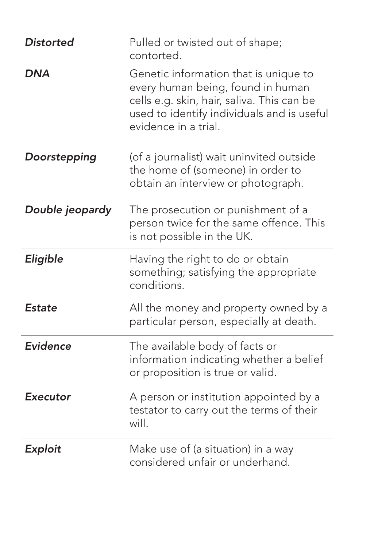| <b>Distorted</b> | Pulled or twisted out of shape;<br>contorted.                                                                                                                                                  |
|------------------|------------------------------------------------------------------------------------------------------------------------------------------------------------------------------------------------|
| <b>DNA</b>       | Genetic information that is unique to<br>every human being, found in human<br>cells e.g. skin, hair, saliva. This can be<br>used to identify individuals and is useful<br>evidence in a trial. |
| Doorstepping     | (of a journalist) wait uninvited outside<br>the home of (someone) in order to<br>obtain an interview or photograph.                                                                            |
| Double jeopardy  | The prosecution or punishment of a<br>person twice for the same offence. This<br>is not possible in the UK.                                                                                    |
| Eligible         | Having the right to do or obtain<br>something; satisfying the appropriate<br>conditions.                                                                                                       |
| <b>Estate</b>    | All the money and property owned by a<br>particular person, especially at death.                                                                                                               |
| Evidence         | The available body of facts or<br>information indicating whether a belief<br>or proposition is true or valid.                                                                                  |
| <b>Executor</b>  | A person or institution appointed by a<br>testator to carry out the terms of their<br>will.                                                                                                    |
| Exploit          | Make use of (a situation) in a way<br>considered unfair or underhand.                                                                                                                          |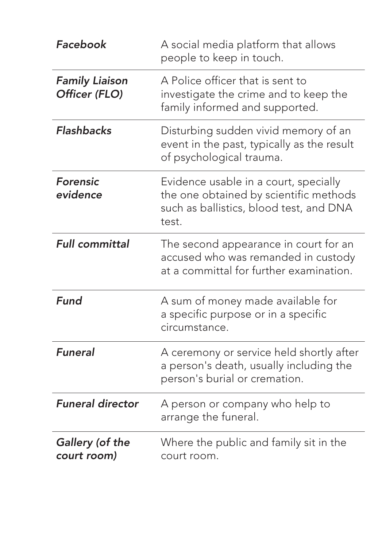| Facebook                               | A social media platform that allows<br>people to keep in touch.                                                                     |
|----------------------------------------|-------------------------------------------------------------------------------------------------------------------------------------|
| <b>Family Liaison</b><br>Officer (FLO) | A Police officer that is sent to<br>investigate the crime and to keep the<br>family informed and supported.                         |
| <b>Flashbacks</b>                      | Disturbing sudden vivid memory of an<br>event in the past, typically as the result<br>of psychological trauma.                      |
| <b>Forensic</b><br>evidence            | Evidence usable in a court, specially<br>the one obtained by scientific methods<br>such as ballistics, blood test, and DNA<br>test. |
| <b>Full committal</b>                  | The second appearance in court for an<br>accused who was remanded in custody<br>at a committal for further examination.             |
| Fund                                   | A sum of money made available for<br>a specific purpose or in a specific<br>circumstance.                                           |
| <b>Funeral</b>                         | A ceremony or service held shortly after<br>a person's death, usually including the<br>person's burial or cremation.                |
| <b>Funeral director</b>                | A person or company who help to<br>arrange the funeral.                                                                             |
| <b>Gallery (of the</b><br>court room)  | Where the public and family sit in the<br>court room.                                                                               |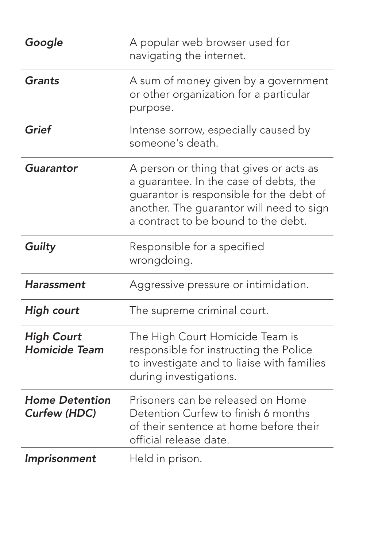| Google                                       | A popular web browser used for<br>navigating the internet.                                                                                                                                                       |
|----------------------------------------------|------------------------------------------------------------------------------------------------------------------------------------------------------------------------------------------------------------------|
| <b>Grants</b>                                | A sum of money given by a government<br>or other organization for a particular<br>purpose.                                                                                                                       |
| Grief                                        | Intense sorrow, especially caused by<br>someone's death.                                                                                                                                                         |
| Guarantor                                    | A person or thing that gives or acts as<br>a guarantee. In the case of debts, the<br>guarantor is responsible for the debt of<br>another. The guarantor will need to sign<br>a contract to be bound to the debt. |
| Guilty                                       | Responsible for a specified<br>wrongdoing.                                                                                                                                                                       |
| Harassment                                   | Aggressive pressure or intimidation.                                                                                                                                                                             |
| <b>High court</b>                            | The supreme criminal court.                                                                                                                                                                                      |
| <b>High Court</b><br><b>Homicide Team</b>    | The High Court Homicide Team is<br>responsible for instructing the Police<br>to investigate and to liaise with families<br>during investigations.                                                                |
| <b>Home Detention</b><br><b>Curfew (HDC)</b> | Prisoners can be released on Home<br>Detention Curfew to finish 6 months<br>of their sentence at home before their<br>official release date.                                                                     |
| Imprisonment                                 | Held in prison.                                                                                                                                                                                                  |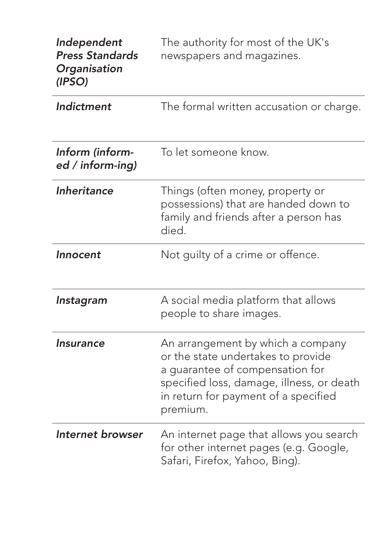| Independent<br><b>Press Standards</b><br>Organisation<br>(IPSO) | The authority for most of the UK's<br>newspapers and magazines.                                                                                                                                             |
|-----------------------------------------------------------------|-------------------------------------------------------------------------------------------------------------------------------------------------------------------------------------------------------------|
| Indictment                                                      | The formal written accusation or charge.                                                                                                                                                                    |
| Inform (inform-<br>ed / inform-ing)                             | To let someone know.                                                                                                                                                                                        |
| Inheritance                                                     | Things (often money, property or<br>possessions) that are handed down to<br>family and friends after a person has<br>died.                                                                                  |
| Innocent                                                        | Not guilty of a crime or offence.                                                                                                                                                                           |
| Instagram                                                       | A social media platform that allows<br>people to share images.                                                                                                                                              |
| <b>Insurance</b>                                                | An arrangement by which a company<br>or the state undertakes to provide<br>a guarantee of compensation for<br>specified loss, damage, illness, or death<br>in return for payment of a specified<br>premium. |
| Internet browser                                                | An internet page that allows you search<br>for other internet pages (e.g. Google,<br>Safari, Firefox, Yahoo, Bing).                                                                                         |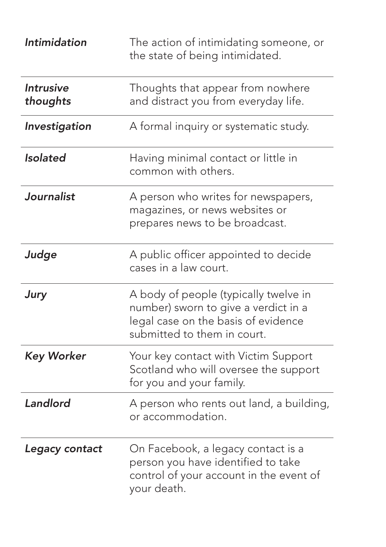| <b>Intimidation</b>          | The action of intimidating someone, or<br>the state of being intimidated.                                                                           |
|------------------------------|-----------------------------------------------------------------------------------------------------------------------------------------------------|
| <b>Intrusive</b><br>thoughts | Thoughts that appear from nowhere<br>and distract you from everyday life.                                                                           |
| Investigation                | A formal inquiry or systematic study.                                                                                                               |
| <b>Isolated</b>              | Having minimal contact or little in<br>common with others.                                                                                          |
| Journalist                   | A person who writes for newspapers,<br>magazines, or news websites or<br>prepares news to be broadcast.                                             |
| Judge                        | A public officer appointed to decide<br>cases in a law court.                                                                                       |
| Jury                         | A body of people (typically twelve in<br>number) sworn to give a verdict in a<br>legal case on the basis of evidence<br>submitted to them in court. |
| <b>Key Worker</b>            | Your key contact with Victim Support<br>Scotland who will oversee the support<br>for you and your family.                                           |
| Landlord                     | A person who rents out land, a building,<br>or accommodation.                                                                                       |
| Legacy contact               | On Facebook, a legacy contact is a<br>person you have identified to take<br>control of your account in the event of<br>your death.                  |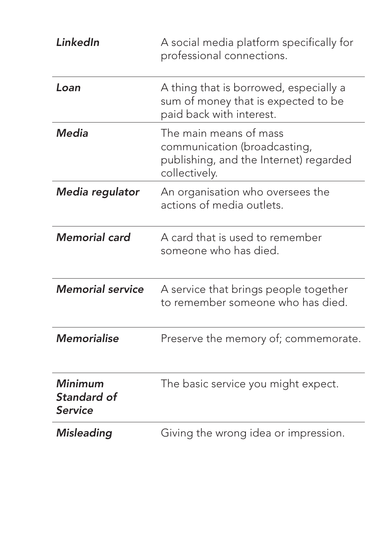| LinkedIn                                        | A social media platform specifically for<br>professional connections.                                             |
|-------------------------------------------------|-------------------------------------------------------------------------------------------------------------------|
| Loan                                            | A thing that is borrowed, especially a<br>sum of money that is expected to be<br>paid back with interest.         |
| <b>Media</b>                                    | The main means of mass<br>communication (broadcasting,<br>publishing, and the Internet) regarded<br>collectively. |
| Media regulator                                 | An organisation who oversees the<br>actions of media outlets.                                                     |
| <b>Memorial card</b>                            | A card that is used to remember<br>someone who has died.                                                          |
| <b>Memorial service</b>                         | A service that brings people together<br>to remember someone who has died.                                        |
| <b>Memorialise</b>                              | Preserve the memory of; commemorate.                                                                              |
| <b>Minimum</b><br>Standard of<br><b>Service</b> | The basic service you might expect.                                                                               |
| <b>Misleading</b>                               | Giving the wrong idea or impression.                                                                              |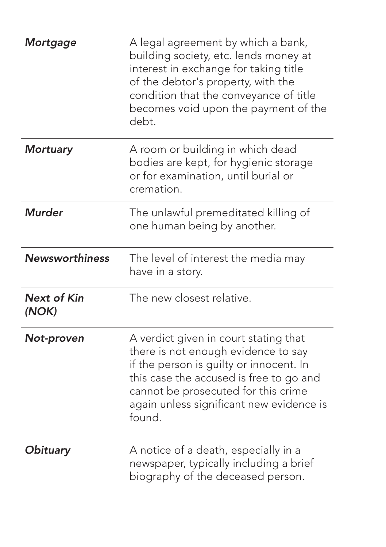| Mortgage                    | A legal agreement by which a bank,<br>building society, etc. lends money at<br>interest in exchange for taking title<br>of the debtor's property, with the<br>condition that the conveyance of title<br>becomes void upon the payment of the<br>debt.           |
|-----------------------------|-----------------------------------------------------------------------------------------------------------------------------------------------------------------------------------------------------------------------------------------------------------------|
| <b>Mortuary</b>             | A room or building in which dead<br>bodies are kept, for hygienic storage<br>or for examination, until burial or<br>cremation.                                                                                                                                  |
| <b>Murder</b>               | The unlawful premeditated killing of<br>one human being by another.                                                                                                                                                                                             |
| <b>Newsworthiness</b>       | The level of interest the media may<br>have in a story.                                                                                                                                                                                                         |
| <b>Next of Kin</b><br>(NOK) | The new closest relative.                                                                                                                                                                                                                                       |
| Not-proven                  | A verdict given in court stating that<br>there is not enough evidence to say<br>if the person is guilty or innocent. In<br>this case the accused is free to go and<br>cannot be prosecuted for this crime<br>again unless significant new evidence is<br>found. |
| Obituary                    | A notice of a death, especially in a<br>newspaper, typically including a brief<br>biography of the deceased person.                                                                                                                                             |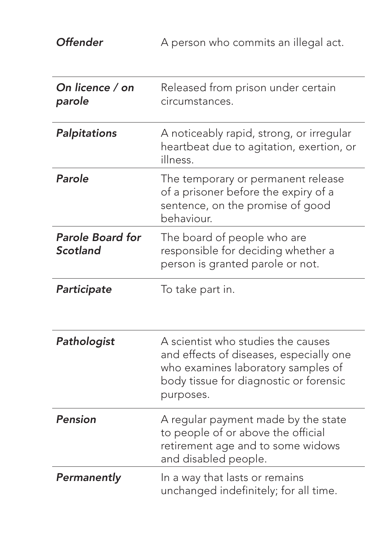**Offender** A person who commits an illegal act.

| On licence / on<br>parole           | Released from prison under certain<br>circumstances.                                                                                                                       |
|-------------------------------------|----------------------------------------------------------------------------------------------------------------------------------------------------------------------------|
| Palpitations                        | A noticeably rapid, strong, or irregular<br>heartbeat due to agitation, exertion, or<br>illness.                                                                           |
| Parole                              | The temporary or permanent release<br>of a prisoner before the expiry of a<br>sentence, on the promise of good<br>behaviour.                                               |
| <b>Parole Board for</b><br>Scotland | The board of people who are<br>responsible for deciding whether a<br>person is granted parole or not.                                                                      |
| Participate                         | To take part in.                                                                                                                                                           |
| Pathologist                         | A scientist who studies the causes<br>and effects of diseases, especially one<br>who examines laboratory samples of<br>body tissue for diagnostic or forensic<br>purposes. |
| <b>Pension</b>                      | A regular payment made by the state<br>to people of or above the official<br>retirement age and to some widows<br>and disabled people.                                     |
| Permanently                         | In a way that lasts or remains<br>unchanged indefinitely; for all time.                                                                                                    |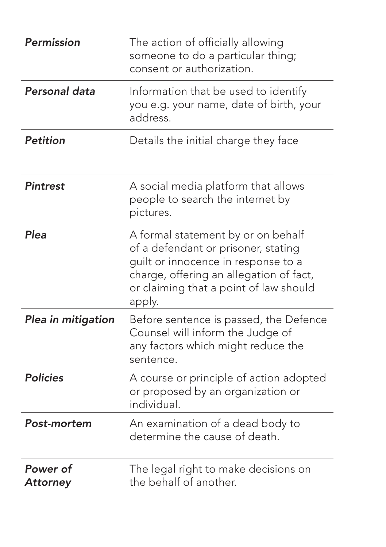| <b>Permission</b>           | The action of officially allowing<br>someone to do a particular thing;<br>consent or authorization.                                                                                                             |
|-----------------------------|-----------------------------------------------------------------------------------------------------------------------------------------------------------------------------------------------------------------|
| Personal data               | Information that be used to identify<br>you e.g. your name, date of birth, your<br>address.                                                                                                                     |
| <b>Petition</b>             | Details the initial charge they face                                                                                                                                                                            |
| <b>Pintrest</b>             | A social media platform that allows<br>people to search the internet by<br>pictures.                                                                                                                            |
| Plea                        | A formal statement by or on behalf<br>of a defendant or prisoner, stating<br>guilt or innocence in response to a<br>charge, offering an allegation of fact,<br>or claiming that a point of law should<br>apply. |
| Plea in mitigation          | Before sentence is passed, the Defence<br>Counsel will inform the Judge of<br>any factors which might reduce the<br>sentence.                                                                                   |
| <b>Policies</b>             | A course or principle of action adopted<br>or proposed by an organization or<br>individual.                                                                                                                     |
| Post-mortem                 | An examination of a dead body to<br>determine the cause of death.                                                                                                                                               |
| Power of<br><b>Attorney</b> | The legal right to make decisions on<br>the behalf of another.                                                                                                                                                  |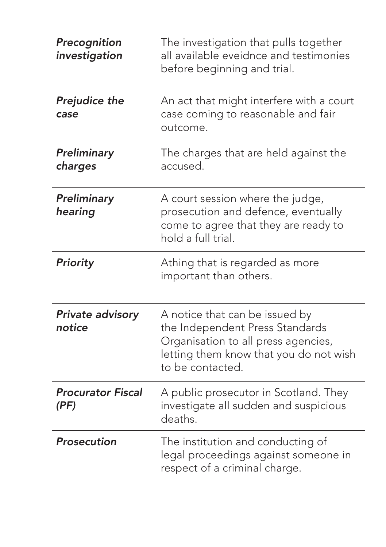| Precognition<br>investigation     | The investigation that pulls together<br>all available eveidnce and testimonies<br>before beginning and trial.                                                         |
|-----------------------------------|------------------------------------------------------------------------------------------------------------------------------------------------------------------------|
| <b>Prejudice the</b><br>case      | An act that might interfere with a court<br>case coming to reasonable and fair<br>outcome.                                                                             |
| Preliminary<br>charges            | The charges that are held against the<br>accused.                                                                                                                      |
| Preliminary<br>hearing            | A court session where the judge,<br>prosecution and defence, eventually<br>come to agree that they are ready to<br>hold a full trial.                                  |
| Priority                          | Athing that is regarded as more<br>important than others.                                                                                                              |
| <b>Private advisory</b><br>notice | A notice that can be issued by<br>the Independent Press Standards<br>Organisation to all press agencies,<br>letting them know that you do not wish<br>to be contacted. |
| <b>Procurator Fiscal</b><br>(PF)  | A public prosecutor in Scotland. They<br>investigate all sudden and suspicious<br>deaths.                                                                              |
| Prosecution                       | The institution and conducting of<br>legal proceedings against someone in<br>respect of a criminal charge.                                                             |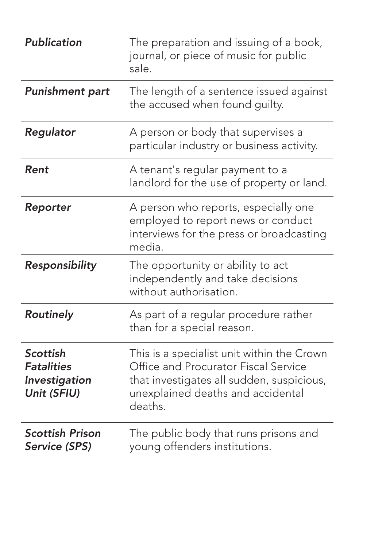| <b>Publication</b>                                            | The preparation and issuing of a book,<br>journal, or piece of music for public<br>sale.                                                                                        |
|---------------------------------------------------------------|---------------------------------------------------------------------------------------------------------------------------------------------------------------------------------|
| <b>Punishment part</b>                                        | The length of a sentence issued against<br>the accused when found guilty.                                                                                                       |
| Regulator                                                     | A person or body that supervises a<br>particular industry or business activity.                                                                                                 |
| Rent                                                          | A tenant's regular payment to a<br>landlord for the use of property or land.                                                                                                    |
| Reporter                                                      | A person who reports, especially one<br>employed to report news or conduct<br>interviews for the press or broadcasting<br>media.                                                |
| Responsibility                                                | The opportunity or ability to act<br>independently and take decisions<br>without authorisation.                                                                                 |
| Routinely                                                     | As part of a regular procedure rather<br>than for a special reason.                                                                                                             |
| Scottish<br><b>Fatalities</b><br>Investigation<br>Unit (SFIU) | This is a specialist unit within the Crown<br>Office and Procurator Fiscal Service<br>that investigates all sudden, suspicious,<br>unexplained deaths and accidental<br>deaths. |
| <b>Scottish Prison</b><br><b>Service (SPS)</b>                | The public body that runs prisons and<br>young offenders institutions.                                                                                                          |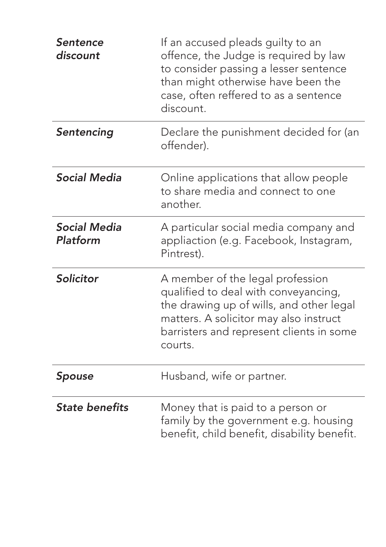| Sentence<br>discount            | If an accused pleads guilty to an<br>offence, the Judge is required by law<br>to consider passing a lesser sentence<br>than might otherwise have been the<br>case, often reffered to as a sentence<br>discount.       |
|---------------------------------|-----------------------------------------------------------------------------------------------------------------------------------------------------------------------------------------------------------------------|
| Sentencing                      | Declare the punishment decided for (an<br>offender).                                                                                                                                                                  |
| <b>Social Media</b>             | Online applications that allow people<br>to share media and connect to one<br>another.                                                                                                                                |
| <b>Social Media</b><br>Platform | A particular social media company and<br>appliaction (e.g. Facebook, Instagram,<br>Pintrest).                                                                                                                         |
| Solicitor                       | A member of the legal profession<br>qualified to deal with conveyancing,<br>the drawing up of wills, and other legal<br>matters. A solicitor may also instruct<br>barristers and represent clients in some<br>courts. |
| Spouse                          | Husband, wife or partner.                                                                                                                                                                                             |
| <b>State benefits</b>           | Money that is paid to a person or<br>family by the government e.g. housing<br>benefit, child benefit, disability benefit.                                                                                             |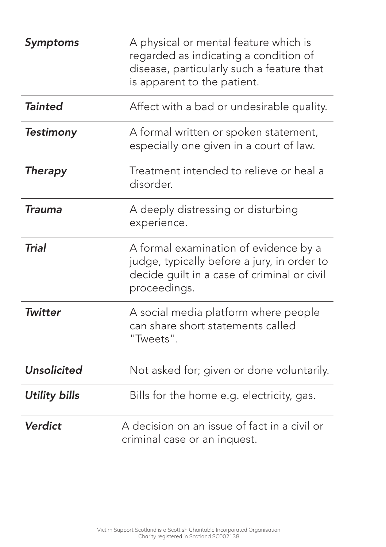| Symptoms           | A physical or mental feature which is<br>regarded as indicating a condition of<br>disease, particularly such a feature that<br>is apparent to the patient. |
|--------------------|------------------------------------------------------------------------------------------------------------------------------------------------------------|
| <b>Tainted</b>     | Affect with a bad or undesirable quality.                                                                                                                  |
| <b>Testimony</b>   | A formal written or spoken statement,<br>especially one given in a court of law.                                                                           |
| <b>Therapy</b>     | Treatment intended to relieve or heal a<br>disorder.                                                                                                       |
| <b>Trauma</b>      | A deeply distressing or disturbing<br>experience.                                                                                                          |
| <b>Trial</b>       | A formal examination of evidence by a<br>judge, typically before a jury, in order to<br>decide guilt in a case of criminal or civil<br>proceedings.        |
| <b>Twitter</b>     | A social media platform where people<br>can share short statements called<br>"Tweets".                                                                     |
| <b>Unsolicited</b> | Not asked for; given or done voluntarily.                                                                                                                  |
| Utility bills      | Bills for the home e.g. electricity, gas.                                                                                                                  |
| Verdict            | A decision on an issue of fact in a civil or<br>criminal case or an inquest.                                                                               |